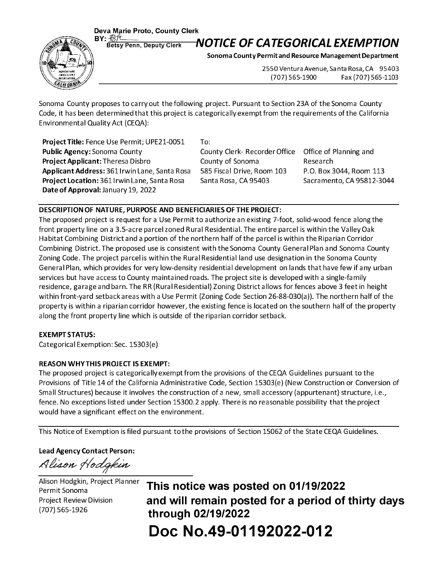**Deva Marie Proto, County Clerk<br>BY: <u>Potou Deput Clerk</u> M** 



## BY:  $\frac{\mathcal{B}\mathcal{P}}{\text{Betsy Penn, Deputy Clerk}}$  **NOTICE OF CATEGORICAL EXEMPTION**

**Sonoma County Permit and Resource Management Department** 

2550 Ventura Avenue, Santa Rosa, CA 95403 (707) 565-1900 Fax (707) 565-1103

Sonoma County proposes to carry out the following project. Pursuant to Section 23A of the Sonoma County Code, it has been determined that this project is categorically exempt from the requirements of the California Environmental Quality Act (CEQA}:

Project Title: Fence Use Permit; UPE21-0051 **Public Agency:** Sonoma County **Project Applicant:** Theresa Disbro **Applicant Address:** 361 Irwin Lane, Santa Rosa **Project Location:** 3611 rwin Lane, Santa Rosa **Date of Approval:** January 19, 2022

To:

County Clerk- Recorder Office County of Sonoma 585 Fiscal Drive, Room 103 Santa Rosa, CA 95403

Office of Planning and Research P.O. Box 3044, Room 113 Sacramento, CA 95812-3044

## **DESCRIPTION OF NATURE, PURPOSE AND BENEFICIARIES OF THE PROJECT:**

The proposed project is request for a Use Permit to authorize an existing 7-foot, solid-wood fence along the front property line on a 3.5-acre parcel zoned Rural Residential. The entire parcel is within the Valley Oak Habitat Combining District and a portion of the northern half of the parcel is within the Riparian Corridor Combining District. The proposed use is consistent with the Sonoma County General Plan and Sonoma County Zoning Code. The project parcel is within the Rural Residential land use designation in the Sonoma County General Plan, which provides for very low-density residential development on lands that have few if any urban services but have access to County maintained roads. The project site is developed with a single-family residence, garage and barn. The RR (Rural Residential} Zoning District allows for fences above 3 feet in height within front-yard setback areas with a Use Permit (Zoning Code Section 26-88-030(a}}. The northern half of the property is within a riparian corridor however, the existing fence is located on the southern half of the property along the front property line which is outside of the riparian corridor setback.

## **EXEMPT STATUS:**

Categorical Exemption: Sec. 15303(e}

## **REASON WHY THIS PROJECT IS EXEMPT:**

The proposed project is categorically exempt from the provisions of the CEQA Guidelines pursuant to the Provisions of Title 14 of the California Administrative Code, Section 15303(e} (New Construction or Conversion of Small Structures} because it involves the construction of a new, small accessory (appurtenant} structure, i.e., fence. No exceptions listed under Section 15300. 2 apply. There is no reasonable possibility that the project would have a significant effect on the environment.

This Notice of Exemption is filed pursuant to the provisions of Section 15062 of the State CEQA Guidelines.

**Lead Agency Contact Person:** 

Alison Hodgkin

Alison Hodgkin, Project Planner Permit Sonoma Project Review Division (707} 565-1926

**This notice was posted on 01/19/2022 and will remain posted for a period of thirty days through 02/19/2022 Doc No.49-01192022-012**